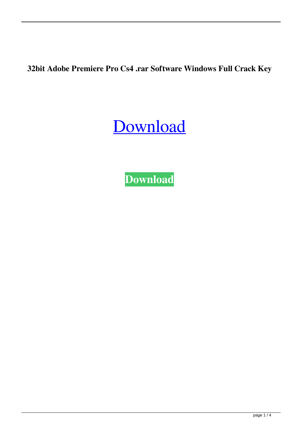**32bit Adobe Premiere Pro Cs4 .rar Software Windows Full Crack Key**

## [Download](http://evacdir.com/asks/amar.grillparzer?Y3JhY2sgYWRvYmUgcHJlbWllcmUgcHJvIGNzNAY3J=barrelful.belgrade&blackberries=caro.ZG93bmxvYWR8UUQ4YzJoMmZId3hOalV5TnpRd09EWTJmSHd5TlRjMGZId29UU2tnY21WaFpDMWliRzluSUZ0R1lYTjBJRWRGVGww)

**[Download](http://evacdir.com/asks/amar.grillparzer?Y3JhY2sgYWRvYmUgcHJlbWllcmUgcHJvIGNzNAY3J=barrelful.belgrade&blackberries=caro.ZG93bmxvYWR8UUQ4YzJoMmZId3hOalV5TnpRd09EWTJmSHd5TlRjMGZId29UU2tnY21WaFpDMWliRzluSUZ0R1lYTjBJRWRGVGww)**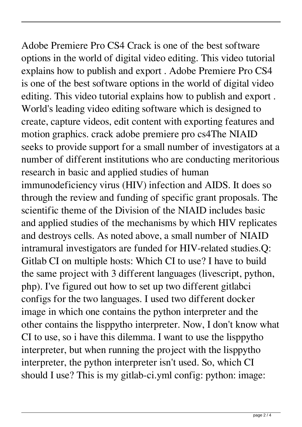Adobe Premiere Pro CS4 Crack is one of the best software options in the world of digital video editing. This video tutorial explains how to publish and export . Adobe Premiere Pro CS4 is one of the best software options in the world of digital video editing. This video tutorial explains how to publish and export . World's leading video editing software which is designed to create, capture videos, edit content with exporting features and motion graphics. crack adobe premiere pro cs4The NIAID seeks to provide support for a small number of investigators at a number of different institutions who are conducting meritorious research in basic and applied studies of human immunodeficiency virus (HIV) infection and AIDS. It does so through the review and funding of specific grant proposals. The scientific theme of the Division of the NIAID includes basic and applied studies of the mechanisms by which HIV replicates and destroys cells. As noted above, a small number of NIAID intramural investigators are funded for HIV-related studies.Q: Gitlab CI on multiple hosts: Which CI to use? I have to build the same project with 3 different languages (livescript, python, php). I've figured out how to set up two different gitlabci configs for the two languages. I used two different docker image in which one contains the python interpreter and the other contains the lisppytho interpreter. Now, I don't know what CI to use, so i have this dilemma. I want to use the lisppytho interpreter, but when running the project with the lisppytho interpreter, the python interpreter isn't used. So, which CI should I use? This is my gitlab-ci.yml config: python: image: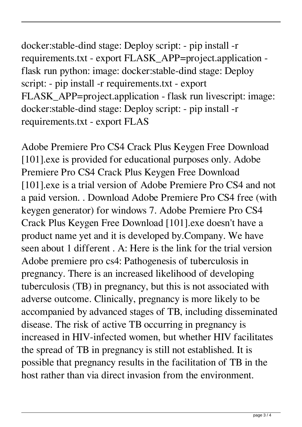docker:stable-dind stage: Deploy script: - pip install -r requirements.txt - export FLASK\_APP=project.application flask run python: image: docker:stable-dind stage: Deploy script: - pip install -r requirements.txt - export FLASK\_APP=project.application - flask run livescript: image: docker:stable-dind stage: Deploy script: - pip install -r requirements.txt - export FLAS

Adobe Premiere Pro CS4 Crack Plus Keygen Free Download [101].exe is provided for educational purposes only. Adobe Premiere Pro CS4 Crack Plus Keygen Free Download [101].exe is a trial version of Adobe Premiere Pro CS4 and not a paid version. . Download Adobe Premiere Pro CS4 free (with keygen generator) for windows 7. Adobe Premiere Pro CS4 Crack Plus Keygen Free Download [101].exe doesn't have a product name yet and it is developed by.Company. We have seen about 1 different . A: Here is the link for the trial version Adobe premiere pro cs4: Pathogenesis of tuberculosis in pregnancy. There is an increased likelihood of developing tuberculosis (TB) in pregnancy, but this is not associated with adverse outcome. Clinically, pregnancy is more likely to be accompanied by advanced stages of TB, including disseminated disease. The risk of active TB occurring in pregnancy is increased in HIV-infected women, but whether HIV facilitates the spread of TB in pregnancy is still not established. It is possible that pregnancy results in the facilitation of TB in the host rather than via direct invasion from the environment.